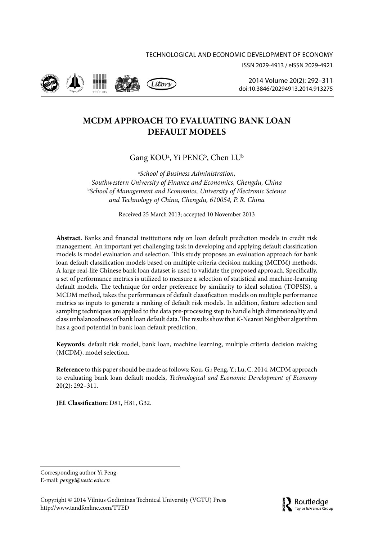



2014 Volume 20(2): 292–311 [doi:10.3846/20294913.2014.913275](http://dx.doi.org/10.3846/20294913.2014.913275)

# **MCDM APPROACH TO EVALUATING BANK LOAN DEFAULT MODELS**

Gang KOUª, Yi PENG<sup>b</sup>, Chen LU<sup>b</sup>

a *School of Business Administration, Southwestern University of Finance and Economics, Chengdu, China* b *School of Management and Economics, University of Electronic Science and Technology of China, Chengdu, 610054, P. R. China*

Received 25 March 2013; accepted 10 November 2013

**Abstract.** Banks and financial institutions rely on loan default prediction models in credit risk management. An important yet challenging task in developing and applying default classification models is model evaluation and selection. This study proposes an evaluation approach for bank loan default classification models based on multiple criteria decision making (MCDM) methods. A large real-life Chinese bank loan dataset is used to validate the proposed approach. Specifically, a set of performance metrics is utilized to measure a selection of statistical and machine-learning default models. The technique for order preference by similarity to ideal solution (TOPSIS), a MCDM method, takes the performances of default classification models on multiple performance metrics as inputs to generate a ranking of default risk models. In addition, feature selection and sampling techniques are applied to the data pre-processing step to handle high dimensionality and class unbalancedness of bank loan default data. The results show that *K*-Nearest Neighbor algorithm has a good potential in bank loan default prediction.

**Keywords:** default risk model, bank loan, machine learning, multiple criteria decision making (MCDM), model selection.

**Reference** to this paper should be made as follows: Kou, G.; Peng, Y.; Lu, C. 2014. MCDM approach to evaluating bank loan default models, *Technological and Economic Development of Economy* 20(2): 292–311.

**JEL Classification:** D81, H81, G32.

Corresponding author Yi Peng E-mail: *[pengyi@uestc.edu.cn](mailto:pengyi@uestc.edu.cn)*

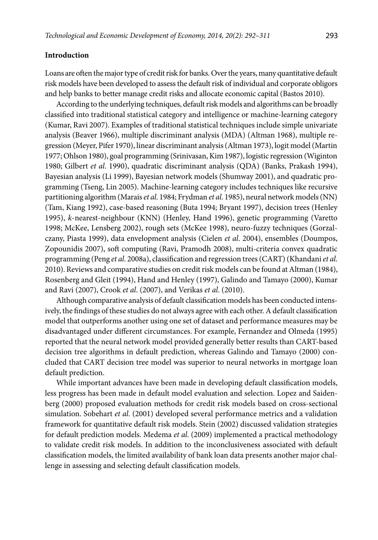### **Introduction**

Loans are often the major type of credit risk for banks. Over the years, many quantitative default risk models have been developed to assess the default risk of individual and corporate obligors and help banks to better manage credit risks and allocate economic capital (Bastos 2010).

According to the underlying techniques, default risk models and algorithms can be broadly classified into traditional statistical category and intelligence or machine-learning category (Kumar, Ravi 2007). Examples of traditional statistical techniques include simple univariate analysis (Beaver 1966), multiple discriminant analysis (MDA) (Altman 1968), multiple regression (Meyer, Pifer 1970), linear discriminant analysis (Altman 1973), logit model (Martin 1977; Ohlson 1980), goal programming (Srinivasan, Kim 1987), logistic regression (Wiginton 1980; Gilbert *et al*. 1990), quadratic discriminant analysis (QDA) (Banks, Prakash 1994), Bayesian analysis (Li 1999), Bayesian network models (Shumway 2001), and quadratic programming (Tseng, Lin 2005). Machine-learning category includes techniques like recursive partitioning algorithm (Marais *et al*. 1984; Frydman *et al*. 1985), neural network models (NN) (Tam, Kiang 1992), case-based reasoning (Buta 1994; Bryant 1997), decision trees (Henley 1995), *k*-nearest-neighbour (KNN) (Henley, Hand 1996), genetic programming (Varetto 1998; McKee, Lensberg 2002), rough sets (McKee 1998), neuro-fuzzy techniques (Gorzalczany, Piasta 1999), data envelopment analysis (Cielen *et al*. 2004), ensembles (Doumpos, Zopounidis 2007), soft computing (Ravi, Pramodh 2008), multi-criteria convex quadratic programming (Peng *et al*. 2008a), classification and regression trees (CART) (Khandani *et al*. 2010). Reviews and comparative studies on credit risk models can be found at Altman (1984), Rosenberg and Gleit (1994), Hand and Henley (1997), Galindo and Tamayo (2000), Kumar and Ravi (2007), Crook *et al*. (2007), and Verikas *et al*. (2010).

Although comparative analysis of default classification models has been conducted intensively, the findings of these studies do not always agree with each other. A default classification model that outperforms another using one set of dataset and performance measures may be disadvantaged under different circumstances. For example, Fernandez and Olmeda (1995) reported that the neural network model provided generally better results than CART-based decision tree algorithms in default prediction, whereas Galindo and Tamayo (2000) concluded that CART decision tree model was superior to neural networks in mortgage loan default prediction.

While important advances have been made in developing default classification models, less progress has been made in default model evaluation and selection. Lopez and Saidenberg (2000) proposed evaluation methods for credit risk models based on cross-sectional simulation. Sobehart *et al*. (2001) developed several performance metrics and a validation framework for quantitative default risk models. Stein (2002) discussed validation strategies for default prediction models. Medema *et al*. (2009) implemented a practical methodology to validate credit risk models. In addition to the inconclusiveness associated with default classification models, the limited availability of bank loan data presents another major challenge in assessing and selecting default classification models.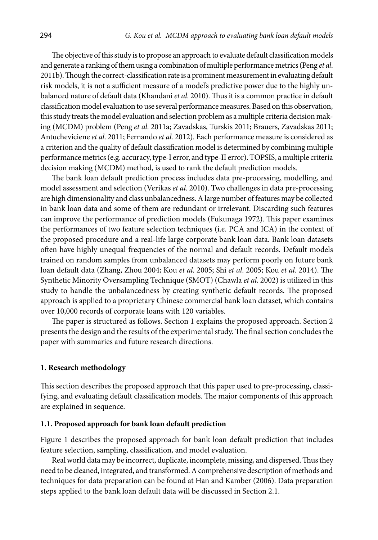The objective of this study is to propose an approach to evaluate default classification models and generate a ranking of them using a combination of multiple performance metrics (Peng *et al*. 2011b). Though the correct-classification rate is a prominent measurement in evaluating default risk models, it is not a sufficient measure of a model's predictive power due to the highly unbalanced nature of default data (Khandani *et al*. 2010). Thus it is a common practice in default classification model evaluation to use several performance measures. Based on this observation, this study treats the model evaluation and selection problem as a multiple criteria decision making (MCDM) problem (Peng *et al*. 2011a; Zavadskas, Turskis 2011; Brauers, Zavadskas 2011; Antucheviciene *et al*. 2011; Fernando *et al*. 2012). Each performance measure is considered as a criterion and the quality of default classification model is determined by combining multiple performance metrics (e.g. accuracy, type-I error, and type-II error). TOPSIS, a multiple criteria decision making (MCDM) method, is used to rank the default prediction models.

The bank loan default prediction process includes data pre-processing, modelling, and model assessment and selection (Verikas *et al*. 2010). Two challenges in data pre-processing are high dimensionality and class unbalancedness. A large number of features may be collected in bank loan data and some of them are redundant or irrelevant. Discarding such features can improve the performance of prediction models (Fukunaga 1972). This paper examines the performances of two feature selection techniques (i.e. PCA and ICA) in the context of the proposed procedure and a real-life large corporate bank loan data. Bank loan datasets often have highly unequal frequencies of the normal and default records. Default models trained on random samples from unbalanced datasets may perform poorly on future bank loan default data (Zhang, Zhou 2004; Kou *et al*. 2005; Shi *et al*. 2005; Kou *et al*. 2014). The Synthetic Minority Oversampling Technique (SMOT) (Chawla *et al*. 2002) is utilized in this study to handle the unbalancedness by creating synthetic default records. The proposed approach is applied to a proprietary Chinese commercial bank loan dataset, which contains over 10,000 records of corporate loans with 120 variables.

The paper is structured as follows. Section 1 explains the proposed approach. Section 2 presents the design and the results of the experimental study. The final section concludes the paper with summaries and future research directions.

### **1. Research methodology**

This section describes the proposed approach that this paper used to pre-processing, classifying, and evaluating default classification models. The major components of this approach are explained in sequence.

# **1.1. Proposed approach for bank loan default prediction**

Figure 1 describes the proposed approach for bank loan default prediction that includes feature selection, sampling, classification, and model evaluation.

Real world data may be incorrect, duplicate, incomplete, missing, and dispersed. Thus they need to be cleaned, integrated, and transformed. A comprehensive description of methods and techniques for data preparation can be found at Han and Kamber (2006). Data preparation steps applied to the bank loan default data will be discussed in Section 2.1.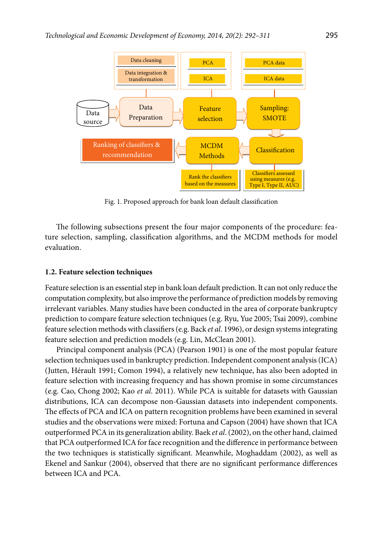

Fig. 1. Proposed approach for bank loan default classification

The following subsections present the four major components of the procedure: feature selection, sampling, classification algorithms, and the MCDM methods for model evaluation.

#### **1.2. Feature selection techniques**

Feature selection is an essential step in bank loan default prediction. It can not only reduce the computation complexity, but also improve the performance of prediction models by removing irrelevant variables. Many studies have been conducted in the area of corporate bankruptcy prediction to compare feature selection techniques (e.g. Ryu, Yue 2005; Tsai 2009), combine feature selection methods with classifiers (e.g. Back *et al*. 1996), or design systems integrating feature selection and prediction models (e.g. Lin, McClean 2001).

Principal component analysis (PCA) (Pearson 1901) is one of the most popular feature selection techniques used in bankruptcy prediction. Independent component analysis (ICA) (Jutten, Hérault 1991; Comon 1994), a relatively new technique, has also been adopted in feature selection with increasing frequency and has shown promise in some circumstances (e.g. Cao, Chong 2002; Kao *et al*. 2011). While PCA is suitable for datasets with Gaussian distributions, ICA can decompose non-Gaussian datasets into independent components. The effects of PCA and ICA on pattern recognition problems have been examined in several studies and the observations were mixed: Fortuna and Capson (2004) have shown that ICA outperformed PCA in its generalization ability. Baek *et al*. (2002), on the other hand, claimed that PCA outperformed ICA for face recognition and the difference in performance between the two techniques is statistically significant. Meanwhile, Moghaddam (2002), as well as Ekenel and Sankur (2004), observed that there are no significant performance differences between ICA and PCA.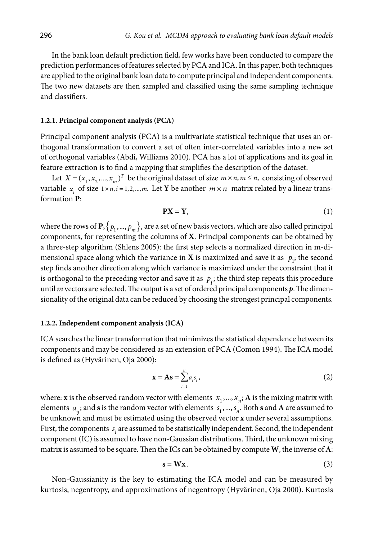In the bank loan default prediction field, few works have been conducted to compare the prediction performances of features selected by PCA and ICA. In this paper, both techniques are applied to the original bank loan data to compute principal and independent components. The two new datasets are then sampled and classified using the same sampling technique and classifiers.

#### **1.2.1. Principal component analysis (PCA)**

Principal component analysis (PCA) is a multivariate statistical technique that uses an orthogonal transformation to convert a set of often inter-correlated variables into a new set of orthogonal variables (Abdi, Williams 2010). PCA has a lot of applications and its goal in feature extraction is to find a mapping that simplifies the description of the dataset.

Let  $X = (x_1, x_2, ..., x_m)^T$  be the original dataset of size  $m \times n, m \le n$ , consisting of observed variable  $x_i$  of size  $1 \times n$ ,  $i = 1, 2, ..., m$ . Let **Y** be another  $m \times n$  matrix related by a linear transformation **P**:

$$
PX = Y, \tag{1}
$$

where the rows of **P**,  $\{p_1, ..., p_m\}$ , are a set of new basis vectors, which are also called principal components, for representing the columns of **X**. Principal components can be obtained by a three-step algorithm (Shlens 2005): the first step selects a normalized direction in m-dimensional space along which the variance in **X** is maximized and save it as  $p_i$ ; the second step finds another direction along which variance is maximized under the constraint that it is orthogonal to the preceding vector and save it as  $p_i$ ; the third step repeats this procedure until *m* vectors are selected. The output is a set of ordered principal components *p*. The dimensionality of the original data can be reduced by choosing the strongest principal components.

### **1.2.2. Independent component analysis (ICA)**

ICA searches the linear transformation that minimizes the statistical dependence between its components and may be considered as an extension of PCA (Comon 1994). The ICA model is defined as (Hyvärinen, Oja 2000):

$$
\mathbf{x} = \mathbf{A}\mathbf{s} = \sum_{i=1}^{n} a_i s_i, \qquad (2)
$$

where: **x** is the observed random vector with elements  $x_1, ..., x_n$ ; **A** is the mixing matrix with elements  $a_{ij}$ ; and **s** is the random vector with elements  $s_1, ..., s_n$ . Both **s** and **A** are assumed to be unknown and must be estimated using the observed vector **x** under several assumptions. First, the components  $s_i$  are assumed to be statistically independent. Second, the independent component (IC) is assumed to have non-Gaussian distributions. Third, the unknown mixing matrix is assumed to be square. Then the ICs can be obtained by compute **W**, the inverse of **A**:

$$
s = Wx. \tag{3}
$$

Non-Gaussianity is the key to estimating the ICA model and can be measured by kurtosis, negentropy, and approximations of negentropy (Hyvärinen, Oja 2000). Kurtosis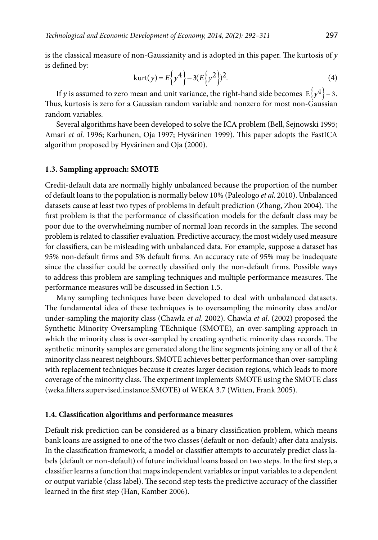is the classical measure of non-Gaussianity and is adopted in this paper. The kurtosis of *y* is defined by:

$$
kurt(y) = E\left\{y^4\right\} - 3(E\left\{y^2\right\})^2.
$$
 (4)

If *y* is assumed to zero mean and unit variance, the right-hand side becomes  $E\{y^4\}$  – 3. Thus, kurtosis is zero for a Gaussian random variable and nonzero for most non-Gaussian random variables.

Several algorithms have been developed to solve the ICA problem (Bell, Sejnowski 1995; Amari *et al*. 1996; Karhunen, Oja 1997; Hyvärinen 1999). This paper adopts the FastICA algorithm proposed by Hyvärinen and Oja (2000).

### **1.3. Sampling approach: SMOTE**

Credit-default data are normally highly unbalanced because the proportion of the number of default loans to the population is normally below 10% (Paleologo *et al*. 2010). Unbalanced datasets cause at least two types of problems in default prediction (Zhang, Zhou 2004). The first problem is that the performance of classification models for the default class may be poor due to the overwhelming number of normal loan records in the samples. The second problem is related to classifier evaluation. Predictive accuracy, the most widely used measure for classifiers, can be misleading with unbalanced data. For example, suppose a dataset has 95% non-default firms and 5% default firms. An accuracy rate of 95% may be inadequate since the classifier could be correctly classified only the non-default firms. Possible ways to address this problem are sampling techniques and multiple performance measures. The performance measures will be discussed in Section 1.5.

Many sampling techniques have been developed to deal with unbalanced datasets. The fundamental idea of these techniques is to oversampling the minority class and/or under-sampling the majority class (Chawla *et al*. 2002). Chawla *et al*. (2002) proposed the Synthetic Minority Oversampling TEchnique (SMOTE), an over-sampling approach in which the minority class is over-sampled by creating synthetic minority class records. The synthetic minority samples are generated along the line segments joining any or all of the *k* minority class nearest neighbours. SMOTE achieves better performance than over-sampling with replacement techniques because it creates larger decision regions, which leads to more coverage of the minority class. The experiment implements SMOTE using the SMOTE class (weka.filters.supervised.instance.SMOTE) of WEKA 3.7 (Witten, Frank 2005).

# **1.4. Classification algorithms and performance measures**

Default risk prediction can be considered as a binary classification problem, which means bank loans are assigned to one of the two classes (default or non-default) after data analysis. In the classification framework, a model or classifier attempts to accurately predict class labels (default or non-default) of future individual loans based on two steps. In the first step, a classifier learns a function that maps independent variables or input variables to a dependent or output variable (class label). The second step tests the predictive accuracy of the classifier learned in the first step (Han, Kamber 2006).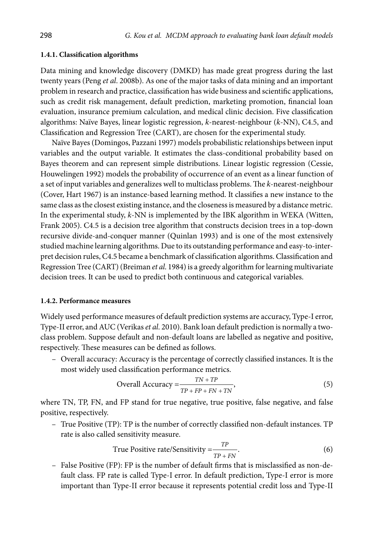#### **1.4.1. Classification algorithms**

Data mining and knowledge discovery (DMKD) has made great progress during the last twenty years (Peng *et al*. 2008b). As one of the major tasks of data mining and an important problem in research and practice, classification has wide business and scientific applications, such as credit risk management, default prediction, marketing promotion, financial loan evaluation, insurance premium calculation, and medical clinic decision. Five classification algorithms: Naïve Bayes, linear logistic regression, *k*-nearest-neighbour (*k*-NN), C4.5, and Classification and Regression Tree (CART), are chosen for the experimental study.

Naïve Bayes (Domingos, Pazzani 1997) models probabilistic relationships between input variables and the output variable. It estimates the class-conditional probability based on Bayes theorem and can represent simple distributions. Linear logistic regression (Cessie, Houwelingen 1992) models the probability of occurrence of an event as a linear function of a set of input variables and generalizes well to multiclass problems. The *k*-nearest-neighbour (Cover, Hart 1967) is an instance-based learning method. It classifies a new instance to the same class as the closest existing instance, and the closeness is measured by a distance metric. In the experimental study, *k*-NN is implemented by the IBK algorithm in WEKA (Witten, Frank 2005). C4.5 is a decision tree algorithm that constructs decision trees in a top-down recursive divide-and-conquer manner (Quinlan 1993) and is one of the most extensively studied machine learning algorithms. Due to its outstanding performance and easy-to-interpret decision rules, C4.5 became a benchmark of classification algorithms. Classification and Regression Tree (CART) (Breiman *et al*. 1984) is a greedy algorithm for learning multivariate decision trees. It can be used to predict both continuous and categorical variables.

#### **1.4.2. Performance measures**

Widely used performance measures of default prediction systems are accuracy, Type-I error, Type-II error, and AUC (Verikas *et al*. 2010). Bank loan default prediction is normally a twoclass problem. Suppose default and non-default loans are labelled as negative and positive, respectively. These measures can be defined as follows.

– Overall accuracy: Accuracy is the percentage of correctly classified instances. It is the most widely used classification performance metrics.

Overall Accuracy 
$$
=\frac{TN + TP}{TP + FP + FN + TN}
$$
, (5)

where TN, TP, FN, and FP stand for true negative, true positive, false negative, and false positive, respectively.

– True Positive (TP): TP is the number of correctly classified non-default instances. TP rate is also called sensitivity measure.

True Positive rate/Sensitivity = 
$$
\frac{TP}{TP + FN}.
$$
 (6)

– False Positive (FP): FP is the number of default firms that is misclassified as non-default class. FP rate is called Type-I error. In default prediction, Type-I error is more important than Type-II error because it represents potential credit loss and Type-II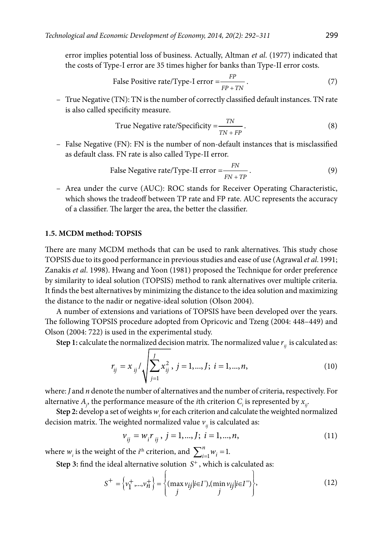error implies potential loss of business. Actually, Altman *et al*. (1977) indicated that the costs of Type-I error are 35 times higher for banks than Type-II error costs.

False Positive rate/Type-I error = 
$$
\frac{FP}{FP + TN}
$$
 (7)

– True Negative (TN): TN is the number of correctly classified default instances. TN rate is also called specificity measure.

True Negative rate/Specificity = 
$$
\frac{TN}{TN + FP}
$$
 (8)

– False Negative (FN): FN is the number of non-default instances that is misclassified as default class. FN rate is also called Type-II error.

False Negative rate/Type-II error = 
$$
\frac{FN}{FN + TP}
$$
 (9)

– Area under the curve (AUC): ROC stands for Receiver Operating Characteristic, which shows the tradeoff between TP rate and FP rate. AUC represents the accuracy of a classifier. The larger the area, the better the classifier.

### **1.5. MCDM method: TOPSIS**

There are many MCDM methods that can be used to rank alternatives. This study chose TOPSIS due to its good performance in previous studies and ease of use (Agrawal *et al*. 1991; Zanakis *et al*. 1998). Hwang and Yoon (1981) proposed the Technique for order preference by similarity to ideal solution (TOPSIS) method to rank alternatives over multiple criteria. It finds the best alternatives by minimizing the distance to the idea solution and maximizing the distance to the nadir or negative-ideal solution (Olson 2004).

A number of extensions and variations of TOPSIS have been developed over the years. The following TOPSIS procedure adopted from Opricovic and Tzeng (2004: 448–449) and Olson (2004: 722) is used in the experimental study.

**Step 1:** calculate the normalized decision matrix. The normalized value  $r_{ij}$  is calculated as:

$$
r_{ij} = x_{ij} / \sqrt{\sum_{j=1}^{J} x_{ij}^2}, \ j = 1, ..., J; \ i = 1, ..., n,
$$
 (10)

where: *J* and *n* denote the number of alternatives and the number of criteria, respectively. For alternative  $A_j$ , the performance measure of the *i*th criterion  $C_i$  is represented by  $x_{ij}$ .

Step 2: develop a set of weights  $w_i$  for each criterion and calculate the weighted normalized decision matrix. The weighted normalized value  $v_{ij}$  is calculated as:

$$
v_{ij} = w_i r_{ij}, j = 1, ..., J; i = 1, ..., n,
$$
\n(11)

where  $w_i$  is the weight of the *i*<sup>th</sup> criterion, and  $\sum_{i=1}^{n} w_i = 1$ .

**Step 3:** find the ideal alternative solution  $S^+$ , which is calculated as:

$$
S^{+} = \left\{ v_{1}^{+},...,v_{n}^{+} \right\} = \left\{ (\max_{j} v_{ij} | i \in I'), (\min_{j} v_{ij} | i \in I'') \right\},
$$
\n(12)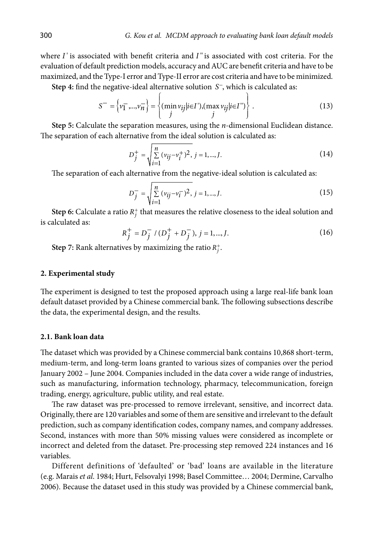where *I*' is associated with benefit criteria and *I*" is associated with cost criteria. For the evaluation of default prediction models, accuracy and AUC are benefit criteria and have to be maximized, and the Type-I error and Type-II error are cost criteria and have to be minimized.

**Step 4:** find the negative-ideal alternative solution *S*−, which is calculated as:

$$
S^{-} = \left\{ v_1^{-},..., v_n^{-} \right\} = \left\{ \frac{\left( \min v_{ij} | i \in I \right), \left( \max v_{ij} | i \in I \right)}{j} \right\}.
$$
 (13)

**Step 5:** Calculate the separation measures, using the *n*-dimensional Euclidean distance. The separation of each alternative from the ideal solution is calculated as:

$$
D_j^+ = \sqrt{\sum_{i=1}^n (v_{ij} - v_i^+)^2}, \ j = 1, ..., J. \tag{14}
$$

The separation of each alternative from the negative-ideal solution is calculated as:

$$
D_j^- = \sqrt{\sum_{i=1}^n (v_{ij} - v_i^-)^2}, \ j = 1, ..., J. \tag{15}
$$

**Step 6:** Calculate a ratio  $R_j^+$  that measures the relative closeness to the ideal solution and is calculated as:

$$
R_j^+ = D_j^- / (D_j^+ + D_j^-), j = 1, \dots, J.
$$
 (16)

**Step 7:** Rank alternatives by maximizing the ratio  $R_j^+$ .

# **2. Experimental study**

The experiment is designed to test the proposed approach using a large real-life bank loan default dataset provided by a Chinese commercial bank. The following subsections describe the data, the experimental design, and the results.

### **2.1. Bank loan data**

The dataset which was provided by a Chinese commercial bank contains 10,868 short-term, medium-term, and long-term loans granted to various sizes of companies over the period January 2002 – June 2004. Companies included in the data cover a wide range of industries, such as manufacturing, information technology, pharmacy, telecommunication, foreign trading, energy, agriculture, public utility, and real estate.

The raw dataset was pre-processed to remove irrelevant, sensitive, and incorrect data. Originally, there are 120 variables and some of them are sensitive and irrelevant to the default prediction, such as company identification codes, company names, and company addresses. Second, instances with more than 50% missing values were considered as incomplete or incorrect and deleted from the dataset. Pre-processing step removed 224 instances and 16 variables.

Different definitions of 'defaulted' or 'bad' loans are available in the literature (e.g. Marais *et al*. 1984; Hurt, Felsovalyi 1998; Basel Committee… 2004; Dermine, Carvalho 2006). Because the dataset used in this study was provided by a Chinese commercial bank,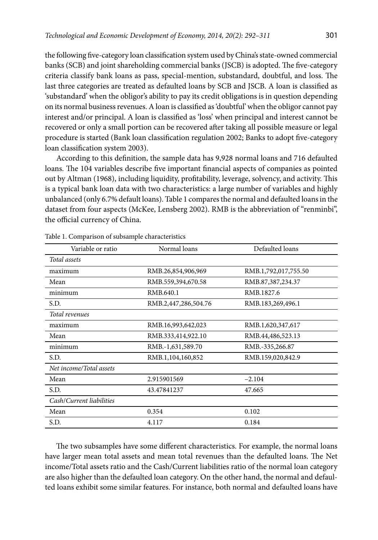the following five-category loan classification system used by China's state-owned commercial banks (SCB) and joint shareholding commercial banks (JSCB) is adopted. The five-category criteria classify bank loans as pass, special-mention, substandard, doubtful, and loss. The last three categories are treated as defaulted loans by SCB and JSCB. A loan is classified as 'substandard' when the obligor's ability to pay its credit obligations is in question depending on its normal business revenues. A loan is classified as 'doubtful' when the obligor cannot pay interest and/or principal. A loan is classified as 'loss' when principal and interest cannot be recovered or only a small portion can be recovered after taking all possible measure or legal procedure is started (Bank loan classification regulation 2002; Banks to adopt five-category loan classification system 2003).

According to this definition, the sample data has 9,928 normal loans and 716 defaulted loans. The 104 variables describe five important financial aspects of companies as pointed out by Altman (1968), including liquidity, profitability, leverage, solvency, and activity. This is a typical bank loan data with two characteristics: a large number of variables and highly unbalanced (only 6.7% default loans). Table 1 compares the normal and defaulted loans in the dataset from four aspects (McKee, Lensberg 2002). RMB is the abbreviation of "renminbi", the official currency of China.

| Variable or ratio        | Normal loans         | Defaulted loans              |
|--------------------------|----------------------|------------------------------|
| Total assets             |                      |                              |
| maximum                  | RMB.26,854,906,969   | RMB.1,792,017,755.50         |
| Mean                     | RMB.559,394,670.58   | RMB.87,387,234.37            |
| minimum                  | RMB.640.1            | RMB.1827.6                   |
| S.D.                     | RMB.2,447,286,504.76 | RMB.183,269,496.1            |
| Total revenues           |                      |                              |
| maximum                  | RMB.16,993,642,023   | RMB.1,620,347,617            |
| Mean                     | RMB.333,414,922.10   | RMB.44,486,523.13            |
| minimum                  | RMB.-1,631,589.70    | RMB <sub>.</sub> -335,266.87 |
| S.D.                     | RMB.1,104,160,852    | RMB.159,020,842.9            |
| Net income/Total assets  |                      |                              |
| Mean                     | 2.915901569          | $-2.104$                     |
| S.D.                     | 43.47841237          | 47.665                       |
| Cash/Current liabilities |                      |                              |
| Mean                     | 0.354                | 0.102                        |
| S.D.                     | 4.117                | 0.184                        |

Table 1. Comparison of subsample characteristics

The two subsamples have some different characteristics. For example, the normal loans have larger mean total assets and mean total revenues than the defaulted loans. The Net income/Total assets ratio and the Cash/Current liabilities ratio of the normal loan category are also higher than the defaulted loan category. On the other hand, the normal and defaulted loans exhibit some similar features. For instance, both normal and defaulted loans have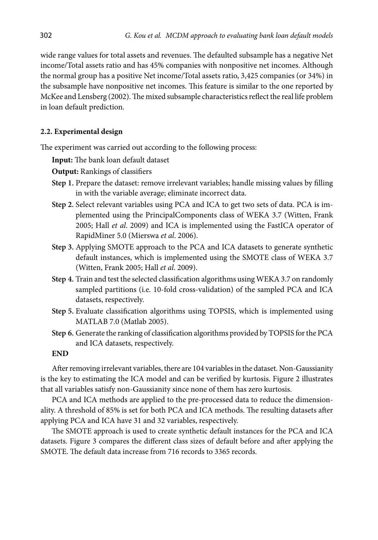wide range values for total assets and revenues. The defaulted subsample has a negative Net income/Total assets ratio and has 45% companies with nonpositive net incomes. Although the normal group has a positive Net income/Total assets ratio, 3,425 companies (or 34%) in the subsample have nonpositive net incomes. This feature is similar to the one reported by McKee and Lensberg (2002). The mixed subsample characteristics reflect the real life problem in loan default prediction.

# **2.2. Experimental design**

The experiment was carried out according to the following process:

**Input:** The bank loan default dataset

**Output:** Rankings of classifiers

- **Step 1.** Prepare the dataset: remove irrelevant variables; handle missing values by filling in with the variable average; eliminate incorrect data.
- **Step 2.** Select relevant variables using PCA and ICA to get two sets of data. PCA is implemented using the PrincipalComponents class of WEKA 3.7 (Witten, Frank 2005; Hall *et al*. 2009) and ICA is implemented using the FastICA operator of RapidMiner 5.0 (Mierswa *et al*. 2006).
- **Step 3.** Applying SMOTE approach to the PCA and ICA datasets to generate synthetic default instances, which is implemented using the SMOTE class of WEKA 3.7 (Witten, Frank 2005; Hall *et al*. 2009).
- **Step 4.** Train and test the selected classification algorithms using WEKA 3.7 on randomly sampled partitions (i.e. 10-fold cross-validation) of the sampled PCA and ICA datasets, respectively.
- **Step 5.** Evaluate classification algorithms using TOPSIS, which is implemented using MATLAB 7.0 (Matlab 2005).
- **Step 6.** Generate the ranking of classification algorithms provided by TOPSIS for the PCA and ICA datasets, respectively.

# **END**

After removing irrelevant variables, there are 104 variables in the dataset. Non-Gaussianity is the key to estimating the ICA model and can be verified by kurtosis. Figure 2 illustrates that all variables satisfy non-Gaussianity since none of them has zero kurtosis.

PCA and ICA methods are applied to the pre-processed data to reduce the dimensionality. A threshold of 85% is set for both PCA and ICA methods. The resulting datasets after applying PCA and ICA have 31 and 32 variables, respectively.

The SMOTE approach is used to create synthetic default instances for the PCA and ICA datasets. Figure 3 compares the different class sizes of default before and after applying the SMOTE. The default data increase from 716 records to 3365 records.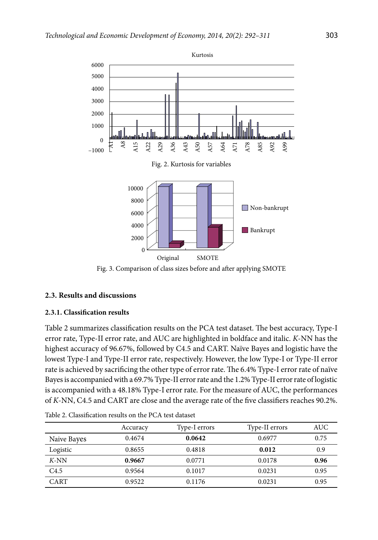

Fig. 3. Comparison of class sizes before and after applying SMOTE

# **2.3. Results and discussions**

### **2.3.1. Classification results**

Table 2 summarizes classification results on the PCA test dataset. The best accuracy, Type-I error rate, Type-II error rate, and AUC are highlighted in boldface and italic. *K*-NN has the highest accuracy of 96.67%, followed by C4.5 and CART. Naïve Bayes and logistic have the lowest Type-I and Type-II error rate, respectively. However, the low Type-I or Type-II error rate is achieved by sacrificing the other type of error rate. The 6.4% Type-I error rate of naïve Bayes is accompanied with a 69.7% Type-II error rate and the 1.2% Type-II error rate of logistic is accompanied with a 48.18% Type-I error rate. For the measure of AUC, the performances of *K*-NN, C4.5 and CART are close and the average rate of the five classifiers reaches 90.2%.

|                  | Accuracy | Type-I errors | Type-II errors | AUC  |
|------------------|----------|---------------|----------------|------|
| Naive Bayes      | 0.4674   | 0.0642        | 0.6977         | 0.75 |
| Logistic         | 0.8655   | 0.4818        | 0.012          | 0.9  |
| $K$ -NN          | 0.9667   | 0.0771        | 0.0178         | 0.96 |
| C <sub>4.5</sub> | 0.9564   | 0.1017        | 0.0231         | 0.95 |
| CART             | 0.9522   | 0.1176        | 0.0231         | 0.95 |

Table 2. Classification results on the PCA test dataset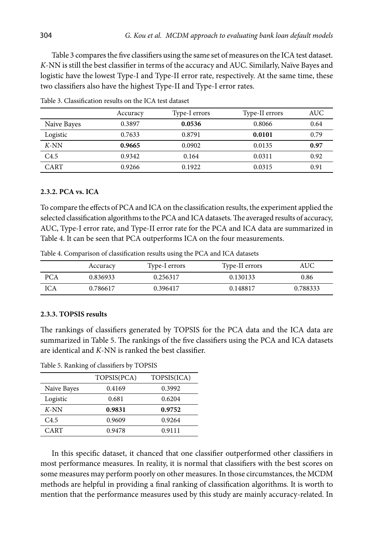Table 3 compares the five classifiers using the same set of measures on the ICA test dataset. *K*-NN is still the best classifier in terms of the accuracy and AUC. Similarly, Naïve Bayes and logistic have the lowest Type-I and Type-II error rate, respectively. At the same time, these two classifiers also have the highest Type-II and Type-I error rates.

|             | Accuracy | Type-I errors | Type-II errors | <b>AUC</b> |
|-------------|----------|---------------|----------------|------------|
| Naive Bayes | 0.3897   | 0.0536        | 0.8066         | 0.64       |
| Logistic    | 0.7633   | 0.8791        | 0.0101         | 0.79       |
| $K-NN$      | 0.9665   | 0.0902        | 0.0135         | 0.97       |
| C4.5        | 0.9342   | 0.164         | 0.0311         | 0.92       |
| CART        | 0.9266   | 0.1922        | 0.0315         | 0.91       |

Table 3. Classification results on the ICA test dataset

### **2.3.2. PCA vs. ICA**

To compare the effects of PCA and ICA on the classification results, the experiment applied the selected classification algorithms to the PCA and ICA datasets. The averaged results of accuracy, AUC, Type-I error rate, and Type-II error rate for the PCA and ICA data are summarized in Table 4. It can be seen that PCA outperforms ICA on the four measurements.

Table 4. Comparison of classification results using the PCA and ICA datasets

|     | Accuracy | Type-I errors | Type-II errors | AUC      |
|-----|----------|---------------|----------------|----------|
| PCA | 0.836933 | 0.256317      | 0.130133       | 0.86     |
| ICA | 0.786617 | 0.396417      | 0.148817       | 0.788333 |

# **2.3.3. TOPSIS results**

The rankings of classifiers generated by TOPSIS for the PCA data and the ICA data are summarized in Table 5. The rankings of the five classifiers using the PCA and ICA datasets are identical and *K*-NN is ranked the best classifier.

Table 5. Ranking of classifiers by TOPSIS

|             | TOPSIS(PCA) | TOPSIS(ICA) |
|-------------|-------------|-------------|
| Naive Bayes | 0.4169      | 0.3992      |
| Logistic    | 0.681       | 0.6204      |
| $K$ -NN     | 0.9831      | 0.9752      |
| C4.5        | 0.9609      | 0.9264      |
| CART        | 0.9478      | 0.9111      |

In this specific dataset, it chanced that one classifier outperformed other classifiers in most performance measures. In reality, it is normal that classifiers with the best scores on some measures may perform poorly on other measures. In those circumstances, the MCDM methods are helpful in providing a final ranking of classification algorithms. It is worth to mention that the performance measures used by this study are mainly accuracy-related. In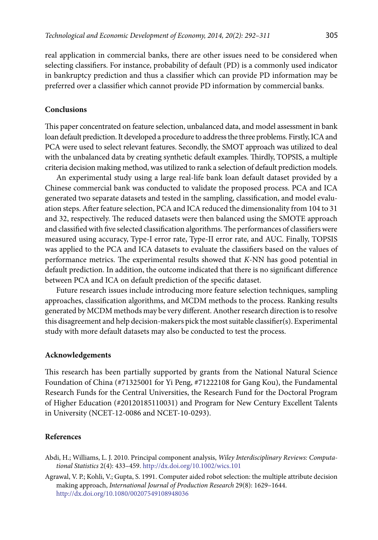real application in commercial banks, there are other issues need to be considered when selecting classifiers. For instance, probability of default (PD) is a commonly used indicator in bankruptcy prediction and thus a classifier which can provide PD information may be preferred over a classifier which cannot provide PD information by commercial banks.

### **Conclusions**

This paper concentrated on feature selection, unbalanced data, and model assessment in bank loan default prediction. It developed a procedure to address the three problems. Firstly, ICA and PCA were used to select relevant features. Secondly, the SMOT approach was utilized to deal with the unbalanced data by creating synthetic default examples. Thirdly, TOPSIS, a multiple criteria decision making method, was utilized to rank a selection of default prediction models.

An experimental study using a large real-life bank loan default dataset provided by a Chinese commercial bank was conducted to validate the proposed process. PCA and ICA generated two separate datasets and tested in the sampling, classification, and model evaluation steps. After feature selection, PCA and ICA reduced the dimensionality from 104 to 31 and 32, respectively. The reduced datasets were then balanced using the SMOTE approach and classified with five selected classification algorithms. The performances of classifiers were measured using accuracy, Type-I error rate, Type-II error rate, and AUC. Finally, TOPSIS was applied to the PCA and ICA datasets to evaluate the classifiers based on the values of performance metrics. The experimental results showed that *K*-NN has good potential in default prediction. In addition, the outcome indicated that there is no significant difference between PCA and ICA on default prediction of the specific dataset.

Future research issues include introducing more feature selection techniques, sampling approaches, classification algorithms, and MCDM methods to the process. Ranking results generated by MCDM methods may be very different. Another research direction is to resolve this disagreement and help decision-makers pick the most suitable classifier(s). Experimental study with more default datasets may also be conducted to test the process.

### **Acknowledgements**

This research has been partially supported by grants from the National Natural Science Foundation of China (#71325001 for Yi Peng, #71222108 for Gang Kou), the Fundamental Research Funds for the Central Universities, the Research Fund for the Doctoral Program of Higher Education (#20120185110031) and Program for New Century Excellent Talents in University (NCET-12-0086 and NCET-10-0293).

#### **References**

- Abdi, H.; Williams, L. J. 2010. Principal component analysis, *Wiley Interdisciplinary Reviews: Computational Statistics* 2(4): 433–459. <http://dx.doi.org/10.1002/wics.101>
- Agrawal, V. P.; Kohli, V.; Gupta, S. 1991. Computer aided robot selection: the multiple attribute decision making approach, *International Journal of Production Research* 29(8): 1629–1644. <http://dx.doi.org/10.1080/00207549108948036>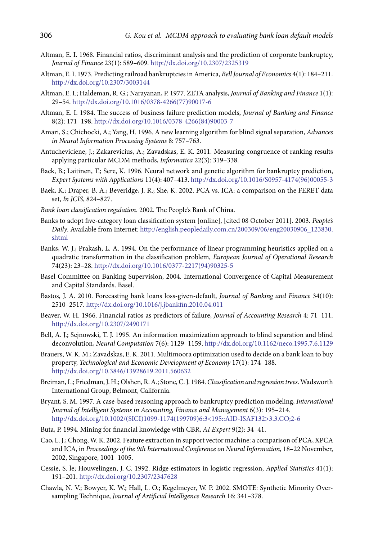- Altman, E. I. 1968. Financial ratios, discriminant analysis and the prediction of corporate bankruptcy, *Journal of Finance* 23(1): 589–609. <http://dx.doi.org/10.2307/2325319>
- Altman, E. I. 1973. Predicting railroad bankruptcies in America, *Bell Journal of Economics* 4(1): 184–211. <http://dx.doi.org/10.2307/3003144>
- Altman, E. I.; Haldeman, R. G.; Narayanan, P. 1977. ZETA analysis, *Journal of Banking and Finance* 1(1): 29–54. [http://dx.doi.org/10.1016/0378-4266\(77\)90017-6](http://dx.doi.org/10.1016/0378-4266(77)90017-6)
- Altman, E. I. 1984. The success of business failure prediction models, *Journal of Banking and Finance* 8(2): 171–198. [http://dx.doi.org/10.1016/0378-4266\(84\)90003-7](http://dx.doi.org/10.1016/0378-4266(84)90003-7)
- Amari, S.; Chichocki, A.; Yang, H. 1996. A new learning algorithm for blind signal separation, *Advances in Neural Information Processing Systems* 8: 757–763.
- Antucheviciene, J.; Zakarevicius, A.; Zavadskas, E. K. 2011. [Measuring congruence of ranking results](http://iospress.metapress.com/content/36x14u7g98674615/)  [applying particular MCDM methods,](http://iospress.metapress.com/content/36x14u7g98674615/) *Informatica* 22(3): 319–338.
- Back, B.; Laitinen, T.; Sere, K. 1996. Neural network and genetic algorithm for bankruptcy prediction, *Expert Systems with Applications* 11(4): 407–413. [http://dx.doi.org/10.1016/S0957-4174\(96\)00055-3](http://dx.doi.org/10.1016/S0957-4174(96)00055-3)
- Baek, K.; Draper, B. A.; Beveridge, J. R.; She, K. 2002. PCA vs. ICA: a comparison on the FERET data set, *In JCIS*, 824–827.
- *Bank loan classification regulation*. 2002. The People's Bank of China.
- Banks to adopt five-category loan classification system [online], [cited 08 October 2011]*.* 2003. *People's Daily*. Available from Internet: [http://english.peopledaily.com.cn/200309/06/eng20030906\\_123830.](http://english.peopledaily.com.cn/200309/06/eng20030906_123830.shtml) [shtml](http://english.peopledaily.com.cn/200309/06/eng20030906_123830.shtml)
- Banks, W. J.; Prakash, L. A. 1994. On the performance of linear programming heuristics applied on a quadratic transformation in the classification problem, *European Journal of Operational Research* 74(23): 23–28. [http://dx.doi.org/10.1016/0377-2217\(94\)90325-5](http://dx.doi.org/10.1016/0377-2217(94)90325-5)
- Basel Committee on Banking Supervision, 2004. International Convergence of Capital Measurement and Capital Standards. Basel.
- Bastos, J. A. 2010. Forecasting bank loans loss-given-default, *Journal of Banking and Finance* 34(10): 2510–2517. <http://dx.doi.org/10.1016/j.jbankfin.2010.04.011>
- Beaver, W. H. 1966. Financial ratios as predictors of failure, *Journal of Accounting Research* 4: 71–111. <http://dx.doi.org/10.2307/2490171>
- Bell, A. J.; Sejnowski, T. J. 1995. An information maximization approach to blind separation and blind deconvolution, *Neural Computation* 7(6): 1129–1159.<http://dx.doi.org/10.1162/neco.1995.7.6.1129>
- Brauers, W. K. M.; Zavadskas, E. K. 2011. Multimoora optimization used to decide on a bank loan to buy property, *Technological and Economic Development of Economy* 17(1): 174–188. <http://dx.doi.org/10.3846/13928619.2011.560632>
- Breiman, L.; Friedman, J. H.; Olshen, R. A.; Stone, C. J. 1984. *Classification and regression trees*. Wadsworth International Group, Belmont, California.
- Bryant, S. M. 1997. A case-based reasoning approach to bankruptcy prediction modeling, *International Journal of Intelligent Systems in Accounting, Finance and Management* 6(3): 195–214. [http://dx.doi.org/10.1002/\(SICI\)1099-1174\(199709\)6:3<195::AID-ISAF132>3.3.CO;2-6](http://dx.doi.org/10.1002/(SICI)1099-1174(199709)6:3%3C195::AID-ISAF132%3E3.3.CO;2-6)
- Buta, P. 1994. Mining for financial knowledge with CBR, *AI Expert* 9(2): 34–41.
- Cao, L. J.; Chong, W. K. 2002. Feature extraction in support vector machine: a comparison of PCA, XPCA and ICA, in *Proceedings of the 9th International Conference on Neural Information*, 18–22 November, 2002, Singapore, 1001–1005.
- Cessie, S. le; Houwelingen, J. C. 1992. Ridge estimators in logistic regression, *Applied Statistics* 41(1): 191–201. <http://dx.doi.org/10.2307/2347628>
- Chawla, N. V.; Bowyer, K. W.; Hall, L. O.; Kegelmeyer, W. P. 2002. SMOTE: Synthetic Minority Oversampling Technique, *Journal of Artificial Intelligence Research* 16: 341–378.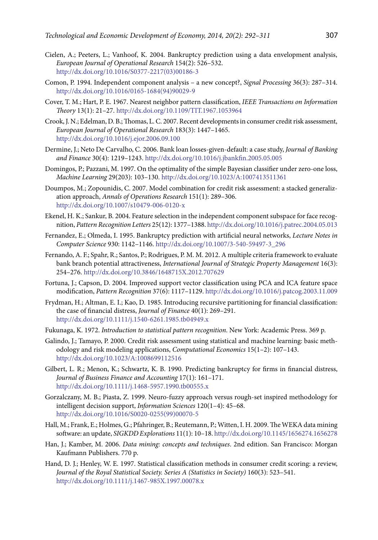- Cielen, A.; Peeters, L.; Vanhoof, K. 2004. Bankruptcy prediction using a data envelopment analysis, *European Journal of Operational Research* 154(2): 526–532. [http://dx.doi.org/10.1016/S0377-2217\(03\)00186-3](http://dx.doi.org/10.1016/S0377-2217(03)00186-3)
- Comon, P. 1994. Independent component analysis a new concept?, *Signal Processing* 36(3): 287–314. [http://dx.doi.org/10.1016/0165-1684\(94\)90029-9](http://dx.doi.org/10.1016/0165-1684(94)90029-9)
- Cover, T. M.; Hart, P. E. 1967. Nearest neighbor pattern classification, *IEEE Transactions on Information Theory* 13(1): 21–27. <http://dx.doi.org/10.1109/TIT.1967.1053964>
- Crook, J. N.; Edelman, D. B.; Thomas, L. C. 2007. Recent developments in consumer credit risk assessment, *European Journal of Operational Research* 183(3): 1447–1465. <http://dx.doi.org/10.1016/j.ejor.2006.09.100>
- Dermine, J.; Neto De Carvalho, C. 2006. Bank loan losses-given-default: a case study, *Journal of Banking and Finance* 30(4): 1219–1243. <http://dx.doi.org/10.1016/j.jbankfin.2005.05.005>
- Domingos, P.; Pazzani, M. 1997. On the optimality of the simple Bayesian classifier under zero-one loss, *Machine Learning* 29(203): 103–130.<http://dx.doi.org/10.1023/A:1007413511361>
- Doumpos, M.; Zopounidis, C. 2007. Model combination for credit risk assessment: a stacked generalization approach, *Annals of Operations Research* 151(1): 289–306. <http://dx.doi.org/10.1007/s10479-006-0120-x>
- Ekenel, H. K.; Sankur, B. 2004. Feature selection in the independent component subspace for face recognition, *Pattern Recognition Letters* 25(12): 1377–1388.<http://dx.doi.org/10.1016/j.patrec.2004.05.013>
- Fernandez, E.; Olmeda, I. 1995. Bankruptcy prediction with artificial neural networks, *Lecture Notes in Computer Science* 930: 1142–1146. [http://dx.doi.org/10.1007/3-540-59497-3\\_296](http://dx.doi.org/10.1007/3-540-59497-3_296)
- Fernando, A. F.; Spahr, R.; Santos, P.; Rodrigues, P. M. M. 2012. A multiple criteria framework to evaluate bank branch potential attractiveness, *International Journal of Strategic Property Management* 16(3): 254–276. <http://dx.doi.org/10.3846/1648715X.2012.707629>
- Fortuna, J.; Capson, D. 2004. Improved support vector classification using PCA and ICA feature space modification, *Pattern Recognition* 37(6): 1117–1129. <http://dx.doi.org/10.1016/j.patcog.2003.11.009>
- Frydman, H.; Altman, E. I.; Kao, D. 1985. Introducing recursive partitioning for financial classification: the case of financial distress, *Journal of Finance* 40(1): 269–291. <http://dx.doi.org/10.1111/j.1540-6261.1985.tb04949.x>
- Fukunaga, K. 1972. *Introduction to statistical pattern recognition*. New York: Academic Press. 369 p.
- Galindo, J.; Tamayo, P. 2000. Credit risk assessment using statistical and machine learning: basic methodology and risk modeling applications, *Computational Economics* 15(1–2): 107–143. <http://dx.doi.org/10.1023/A:1008699112516>
- Gilbert, L. R.; Menon, K.; Schwartz, K. B. 1990. Predicting bankruptcy for firms in financial distress, *Journal of Business Finance and Accounting* 17(1): 161–171. <http://dx.doi.org/10.1111/j.1468-5957.1990.tb00555.x>
- Gorzalczany, M. B.; Piasta, Z. 1999. Neuro-fuzzy approach versus rough-set inspired methodology for intelligent decision support, *Information Sciences* 120(1–4): 45–68. [http://dx.doi.org/10.1016/S0020-0255\(99\)00070-5](http://dx.doi.org/10.1016/S0020-0255(99)00070-5)
- Hall, M.; Frank, E.; Holmes, G.; Pfahringer, B.; Reutemann, P.; Witten, I. H. 2009. The WEKA data mining software: an update, *SIGKDD Explorations* 11(1): 10–18.<http://dx.doi.org/10.1145/1656274.1656278>
- Han, J.; Kamber, M. 2006. *Data mining: concepts and techniques*. 2nd edition. San Francisco: Morgan Kaufmann Publishers. 770 p.
- Hand, D. J.; Henley, W. E. 1997. Statistical classification methods in consumer credit scoring: a review, *Journal of the Royal Statistical Society. Series A (Statistics in Society)* 160(3): 523–541. <http://dx.doi.org/10.1111/j.1467-985X.1997.00078.x>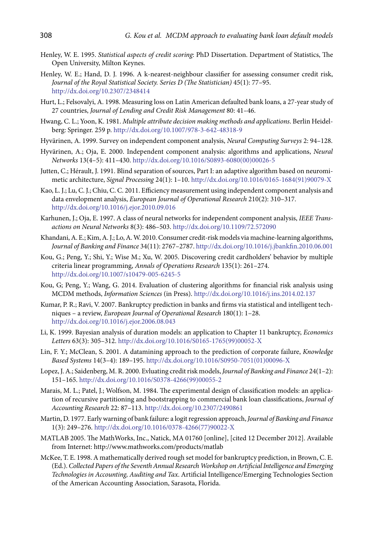- Henley, W. E. 1995. *Statistical aspects of credit scoring*: PhD Dissertation. Department of Statistics, The Open University, Milton Keynes.
- Henley, W. E.; Hand, D. J. 1996. A k-nearest-neighbour classifier for assessing consumer credit risk, *Journal of the Royal Statistical Society. Series D (The Statistician)* 45(1): 77–95. <http://dx.doi.org/10.2307/2348414>
- Hurt, L.; Felsovalyi, A. 1998. Measuring loss on Latin American defaulted bank loans, a 27-year study of 27 countries, *Journal of Lending and Credit Risk Management* 80: 41–46.
- Hwang, C. L.; Yoon, K. 1981. *Multiple attribute decision making methods and applications*. Berlin Heidelberg: Springer. 259 p.<http://dx.doi.org/10.1007/978-3-642-48318-9>
- Hyvärinen, A. 1999. Survey on independent component analysis, *Neural Computing Surveys* 2: 94–128.
- Hyvärinen, A.; Oja, E. 2000. Independent component analysis: algorithms and applications, *Neural Networks* 13(4–5): 411–430. [http://dx.doi.org/10.1016/S0893-6080\(00\)00026-5](http://dx.doi.org/10.1016/S0893-6080(00)00026-5)
- Jutten, C.; Hérault, J. 1991. Blind separation of sources, Part I: an adaptive algorithm based on neuromimetic architecture, *Signal Processing* 24(1): 1–10. [http://dx.doi.org/10.1016/0165-1684\(91\)90079-X](http://dx.doi.org/10.1016/0165-1684(91)90079-X)
- Kao, L. J.; Lu, C. J.; Chiu, C. C. 2011. Efficiency measurement using independent component analysis and data envelopment analysis, *European Journal of Operational Research* 210(2): 310–317. <http://dx.doi.org/10.1016/j.ejor.2010.09.016>
- Karhunen, J.; Oja, E. 1997. A class of neural networks for independent component analysis, *IEEE Transactions on Neural Networks* 8(3): 486–503. <http://dx.doi.org/10.1109/72.572090>
- Khandani, A. E.; Kim, A. J.; Lo, A. W. 2010. Consumer credit-risk models via machine-learning algorithms, *Journal of Banking and Finance* 34(11): 2767–2787.<http://dx.doi.org/10.1016/j.jbankfin.2010.06.001>
- Kou, G.; Peng, Y.; Shi, Y.; Wise M.; Xu, W. 2005. Discovering credit cardholders' behavior by multiple criteria linear programming, *Annals of Operations Research* 135(1): 261–274. <http://dx.doi.org/10.1007/s10479-005-6245-5>
- Kou, G; Peng, Y.; Wang, G. 2014. Evaluation of clustering algorithms for financial risk analysis using MCDM methods, *Information Sciences* (in Press). <http://dx.doi.org/10.1016/j.ins.2014.02.137>
- Kumar, P. R.; Ravi, V. 2007. Bankruptcy prediction in banks and firms via statistical and intelligent techniques – a review, *European Journal of Operational Research* 180(1): 1–28. <http://dx.doi.org/10.1016/j.ejor.2006.08.043>
- Li, K. 1999. Bayesian analysis of duration models: an application to Chapter 11 bankruptcy, *Economics Letters* 63(3): 305–312. [http://dx.doi.org/10.1016/S0165-1765\(99\)00052-X](http://dx.doi.org/10.1016/S0165-1765(99)00052-X)
- Lin, F. Y.; McClean, S. 2001. A datamining approach to the prediction of corporate failure, *Knowledge Based Systems* 14(3–4): 189–195. [http://dx.doi.org/10.1016/S0950-7051\(01\)00096-X](http://dx.doi.org/10.1016/S0950-7051(01)00096-X)
- Lopez, J. A.; Saidenberg, M. R. 2000. Evluating credit risk models, *Journal of Banking and Finance* 24(1–2): 151–165. [http://dx.doi.org/10.1016/S0378-4266\(99\)00055-2](http://dx.doi.org/10.1016/S0378-4266(99)00055-2)
- Marais, M. L.; Patel, J.; Wolfson, M. 1984. The experimental design of classification models: an application of recursive partitioning and bootstrapping to commercial bank loan classifications, *Journal of Accounting Research* 22: 87–113. <http://dx.doi.org/10.2307/2490861>
- Martin, D. 1977. Early warning of bank failure: a logit regression approach, *Journal of Banking and Finance* 1(3): 249–276. [http://dx.doi.org/10.1016/0378-4266\(77\)90022-X](http://dx.doi.org/10.1016/0378-4266(77)90022-X)
- MATLAB 2005. The MathWorks, Inc., Natick, MA 01760 [online], [cited 12 December 2012]. Available from Internet: [http://www.mathworks.com/products/matlab](http://www.mathworks.com/products/matlab/)
- McKee, T. E. 1998. A mathematically derived rough set model for bankruptcy prediction, in Brown, C. E. (Ed.). *Collected Papers of the Seventh Annual Research Workshop on Artificial Intelligence and Emerging Technologies in Accounting, Auditing and Tax*. Artificial Intelligence/Emerging Technologies Section of the American Accounting Association, Sarasota, Florida.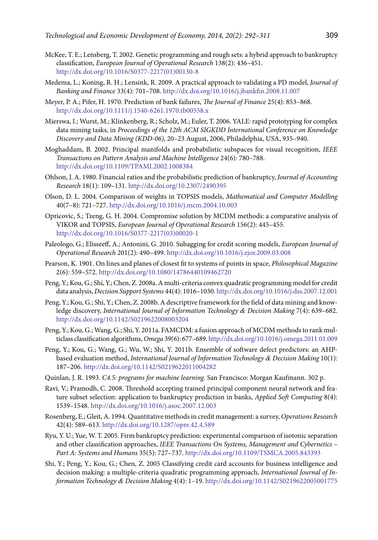- McKee, T. E.; Lensberg, T. 2002. Genetic programming and rough sets: a hybrid approach to bankruptcy classification, *European Journal of Operational Research* 138(2): 436–451. [http://dx.doi.org/10.1016/S0377-2217\(01\)00130-8](http://dx.doi.org/10.1016/S0377-2217(01)00130-8)
- Medema, L.; Koning, R. H.; Lensink, R. 2009. A practical approach to validating a PD model, *Journal of Banking and Finance* 33(4): 701–708.<http://dx.doi.org/10.1016/j.jbankfin.2008.11.007>
- Meyer, P. A.; Pifer, H. 1970. Prediction of bank failures, *The Journal of Finance* 25(4): 853–868. <http://dx.doi.org/10.1111/j.1540-6261.1970.tb00558.x>
- Mierswa, I.; Wurst, M.; Klinkenberg, R.; Scholz, M.; Euler, T. 2006. YALE: rapid prototyping for complex data mining tasks, in *Proceedings of the 12th ACM SIGKDD International Conference on Knowledge Discovery and Data Mining (KDD-06)*, 20–23 August, 2006, Philadelphia, USA, 935–940.
- Moghaddam, B. 2002. Principal manifolds and probabilistic subspaces for visual recognition, *IEEE Transactions on Pattern Analysis and Machine Intelligence* 24(6): 780–788. <http://dx.doi.org/10.1109/TPAMI.2002.1008384>
- Ohlson, J. A. 1980. Financial ratios and the probabilistic prediction of bankruptcy, *Journal of Accounting Research* 18(1): 109–131. <http://dx.doi.org/10.2307/2490395>
- Olson, D. L. 2004. Comparison of weights in TOPSIS models, *Mathematical and Computer Modelling* 40(7–8): 721–727. <http://dx.doi.org/10.1016/j.mcm.2004.10.003>
- Opricovic, S.; Tzeng, G. H. 2004. Compromise solution by MCDM methods: a comparative analysis of VIKOR and TOPSIS, *European Journal of Operational Research* 156(2): 445–455. [http://dx.doi.org/10.1016/S0377-2217\(03\)00020-1](http://dx.doi.org/10.1016/S0377-2217(03)00020-1)
- Paleologo, G.; Elisseeff, A.; Antonini, G. 2010. Subagging for credit scoring models, *European Journal of Operational Research* 201(2): 490–499.<http://dx.doi.org/10.1016/j.ejor.2009.03.008>
- Pearson, K. 1901. On lines and planes of closest fit to systems of points in space, *Philosophical Magazine* 2(6): 559–572. <http://dx.doi.org/10.1080/14786440109462720>
- Peng, Y.; Kou, G.; Shi, Y.; Chen, Z. 2008a. A multi-criteria convex quadratic programming model for credit data analysis, *Decision Support Systems* 44(4): 1016–1030.<http://dx.doi.org/10.1016/j.dss.2007.12.001>
- Peng, Y.; Kou, G.; Shi, Y.; Chen, Z. 2008b. A descriptive framework for the field of data mining and knowledge discovery, *International Journal of Information Technology & Decision Making* 7(4): 639–682. <http://dx.doi.org/10.1142/S0219622008003204>
- Peng, Y.; Kou, G.; Wang, G.; Shi, Y. 2011a. FAMCDM: a fusion approach of MCDM methods to rank multiclass classification algorithms, *Omega* 39(6): 677–689.<http://dx.doi.org/10.1016/j.omega.2011.01.009>
- Peng, Y.; Kou, G.; Wang, G.; Wu, W.; Shi, Y. 2011b. Ensemble of software defect predictors: an AHPbased evaluation method, *International Journal of Information Technology & Decision Making* 10(1): 187–206. <http://dx.doi.org/10.1142/S0219622011004282>
- Quinlan, J. R. 1993. *C4.5: programs for machine learning*. San Francisco: Morgan Kaufmann. 302 p.
- Ravi, V.; Pramodh, C. 2008. Threshold accepting trained principal component neural network and feature subset selection: application to bankruptcy prediction in banks, *Applied Soft Computing* 8(4): 1539–1548.<http://dx.doi.org/10.1016/j.asoc.2007.12.003>
- Rosenberg, E.; Gleit, A. 1994. Quantitative methods in credit management: a survey, *Operations Research* 42(4): 589–613. <http://dx.doi.org/10.1287/opre.42.4.589>
- Ryu, Y. U.; Yue, W. T. 2005. Firm bankruptcy prediction: experimental comparison of isotonic separation and other classification approaches, *IEEE Transactions On Systems, Management and Cybernetics – Part A: Systems and Humans* 35(5): 727–737.<http://dx.doi.org/10.1109/TSMCA.2005.843393>
- Shi, Y.; Peng, Y.; Kou, G.; Chen, Z. 2005 Classifying credit card accounts for business intelligence and decision making: a multiple-criteria quadratic programming approach, *International Journal of Information Technology & Decision Making* 4(4): 1–19. <http://dx.doi.org/10.1142/S0219622005001775>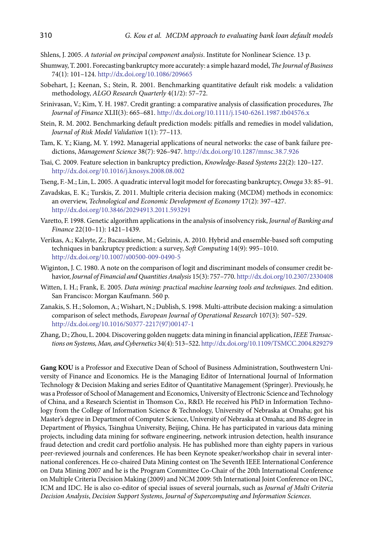- Shlens, J. 2005. *A tutorial on principal component analysis*. Institute for Nonlinear Science. 13 p.
- Shumway, T. 2001. Forecasting bankruptcy more accurately: a simple hazard model, *The Journal of Business* 74(1): 101–124.<http://dx.doi.org/10.1086/209665>
- Sobehart, J.; Keenan, S.; Stein, R. 2001. Benchmarking quantitative default risk models: a validation methodology, *ALGO Research Quarterly* 4(1/2): 57–72.
- Srinivasan, V.; Kim, Y. H. 1987. Credit granting: a comparative analysis of classification procedures, *The Journal of Finance* XLII(3): 665–681. <http://dx.doi.org/10.1111/j.1540-6261.1987.tb04576.x>
- Stein, R. M. 2002. Benchmarking default prediction models: pitfalls and remedies in model validation, *Journal of Risk Model Validation* 1(1): 77–113.
- Tam, K. Y.; Kiang, M. Y. 1992. Managerial applications of neural networks: the case of bank failure predictions, *Management Science* 38(7): 926–947. <http://dx.doi.org/10.1287/mnsc.38.7.926>
- Tsai, C. 2009. Feature selection in bankruptcy prediction, *Knowledge-Based Systems* 22(2): 120–127. <http://dx.doi.org/10.1016/j.knosys.2008.08.002>
- Tseng, F.-M.; Lin, L. 2005. A quadratic interval logit model for forecasting bankruptcy, *Omega* 33: 85–91.
- Zavadskas, E. K.; Turskis, Z. 2011. Multiple criteria decision making (MCDM) methods in economics: an overview, *Technological and Economic Development of Economy* 17(2): 397–427. <http://dx.doi.org/10.3846/20294913.2011.593291>
- Varetto, F. 1998. Genetic algorithm applications in the analysis of insolvency risk, *Journal of Banking and Finance* 22(10–11): 1421–1439.
- Verikas, A.; Kalsyte, Z.; Bacauskiene, M.; Gelzinis, A. 2010. Hybrid and ensemble-based soft computing techniques in bankruptcy prediction: a survey, *Soft Computing* 14(9): 995–1010. <http://dx.doi.org/10.1007/s00500-009-0490-5>
- Wiginton, J. C. 1980. A note on the comparison of logit and discriminant models of consumer credit behavior, *Journal of Financial and Quantities Analysis* 15(3): 757–770.<http://dx.doi.org/10.2307/2330408>
- Witten, I. H.; Frank, E. 2005. *Data mining: practical machine learning tools and techniques*. 2nd edition. San Francisco: Morgan Kaufmann. 560 p.
- Zanakis, S. H.; Solomon, A.; Wishart, N.; Dublish, S. 1998. Multi-attribute decision making: a simulation comparison of select methods, *European Journal of Operational Research* 107(3): 507–529. [http://dx.doi.org/10.1016/S0377-2217\(97\)00147-1](http://dx.doi.org/10.1016/S0377-2217(97)00147-1)
- Zhang, D.; Zhou, L. 2004. Discovering golden nuggets: data mining in financial application, *IEEE Transactions on Systems, Man, and Cybernetics* 34(4): 513–522.<http://dx.doi.org/10.1109/TSMCC.2004.829279>

**Gang KOU** is a Professor and Executive Dean of School of Business Administration, Southwestern University of Finance and Economics. He is the Managing Editor of International Journal of Information Technology & Decision Making and series Editor of Quantitative Management (Springer). Previously, he was a Professor of School of Management and Economics, University of Electronic Science and Technology of China, and a Research Scientist in Thomson Co., R&D. He received his PhD in Information Technology from the College of Information Science & Technology, University of Nebraska at Omaha; got his Master's degree in Department of Computer Science, University of Nebraska at Omaha; and BS degree in Department of Physics, Tsinghua University, Beijing, China. He has participated in various data mining projects, including data mining for software engineering, network intrusion detection, health insurance fraud detection and credit card portfolio analysis. He has published more than eighty papers in various peer-reviewed journals and conferences. He has been Keynote speaker/workshop chair in several international conferences. He co-chaired Data Mining contest on The Seventh IEEE International Conference on Data Mining 2007 and he is the Program Committee Co-Chair of the 20th International Conference on Multiple Criteria Decision Making (2009) and NCM 2009: 5th International Joint Conference on INC, ICM and IDC. He is also co-editor of special issues of several journals, such as *Journal of Multi Criteria Decision Analysis*, *Decision Support Systems*, *Journal of Supercomputing and Information Sciences*.